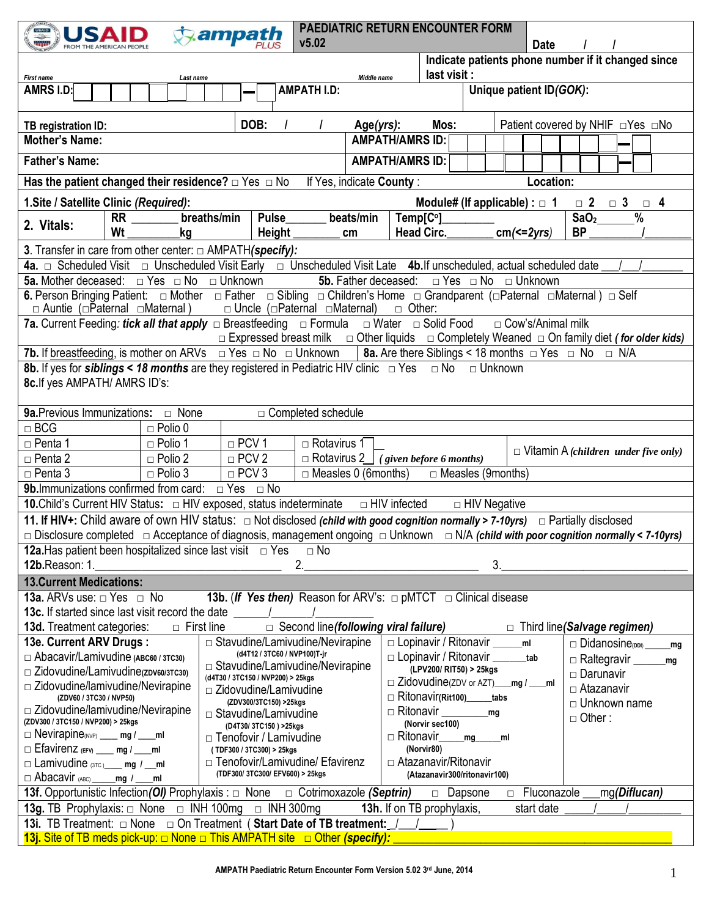| <b>USAID</b>                                                                                                                                                    | ampath                                                                      |                                                                                                                   |                             | <b>PAEDIATRIC RETURN ENCOUNTER FORM</b>    |                |                                     |             |                    |                                                    |                                             |
|-----------------------------------------------------------------------------------------------------------------------------------------------------------------|-----------------------------------------------------------------------------|-------------------------------------------------------------------------------------------------------------------|-----------------------------|--------------------------------------------|----------------|-------------------------------------|-------------|--------------------|----------------------------------------------------|---------------------------------------------|
|                                                                                                                                                                 |                                                                             | v5.02                                                                                                             |                             |                                            |                |                                     | <b>Date</b> |                    |                                                    |                                             |
|                                                                                                                                                                 |                                                                             |                                                                                                                   |                             |                                            |                |                                     |             |                    | Indicate patients phone number if it changed since |                                             |
| First name                                                                                                                                                      | Last name                                                                   |                                                                                                                   | Middle name                 | last visit :                               |                |                                     |             |                    |                                                    |                                             |
| AMRS I.D.                                                                                                                                                       |                                                                             | <b>AMPATH I.D:</b>                                                                                                |                             |                                            |                | Unique patient ID(GOK):             |             |                    |                                                    |                                             |
|                                                                                                                                                                 |                                                                             |                                                                                                                   |                             |                                            |                |                                     |             |                    |                                                    |                                             |
| TB registration ID:                                                                                                                                             | DOB:                                                                        |                                                                                                                   | Age(yrs):                   | Mos:                                       |                |                                     |             |                    | Patient covered by NHIF $\Box$ Yes $\Box$ No       |                                             |
| <b>Mother's Name:</b>                                                                                                                                           |                                                                             |                                                                                                                   |                             | <b>AMPATH/AMRS ID:</b>                     |                |                                     |             |                    |                                                    |                                             |
| <b>Father's Name:</b>                                                                                                                                           |                                                                             |                                                                                                                   |                             | <b>AMPATH/AMRS ID:</b>                     |                |                                     |             |                    |                                                    |                                             |
| Has the patient changed their residence? $\Box$ Yes $\Box$ No                                                                                                   |                                                                             |                                                                                                                   | If Yes, indicate County:    |                                            |                |                                     | Location:   |                    |                                                    |                                             |
| 1. Site / Satellite Clinic (Required):                                                                                                                          |                                                                             |                                                                                                                   |                             | Module# (If applicable) : $\Box$ 1         |                |                                     |             |                    | $\Box$ 2 $\Box$ 3                                  | $\Box$ 4                                    |
| <b>RR</b>                                                                                                                                                       | breaths/min<br>Pulse                                                        |                                                                                                                   | beats/min                   | Temp[C°]                                   |                |                                     |             | $\overline{S}aO_2$ | $\frac{9}{6}$                                      |                                             |
| 2. Vitals:<br>Wt                                                                                                                                                | <b>Height</b><br>kg                                                         |                                                                                                                   | cm                          | <b>Head Circ.</b>                          |                | $cm \leqslant = 2yrs$               |             | <b>BP</b>          |                                                    |                                             |
| 3. Transfer in care from other center: $\Box$ AMPATH(specify):                                                                                                  |                                                                             |                                                                                                                   |                             |                                            |                |                                     |             |                    |                                                    |                                             |
| 4a. $\Box$ Scheduled Visit $\Box$ Unscheduled Visit Early $\Box$ Unscheduled Visit Late 4b. If unscheduled, actual scheduled date                               |                                                                             |                                                                                                                   |                             |                                            |                |                                     |             |                    |                                                    |                                             |
| <b>5a.</b> Mother deceased: $\Box$ Yes $\Box$ No $\Box$ Unknown                                                                                                 |                                                                             |                                                                                                                   | 5b. Father deceased:        |                                            |                | $\Box$ Yes $\Box$ No $\Box$ Unknown |             |                    |                                                    |                                             |
|                                                                                                                                                                 |                                                                             |                                                                                                                   |                             |                                            |                |                                     |             |                    |                                                    |                                             |
| $\Box$ Auntie ( $\Box$ Paternal $\Box$ Maternal)                                                                                                                |                                                                             | $\Box$ Uncle ( $\Box$ Paternal $\Box$ Maternal)                                                                   |                             | $\Box$ Other:                              |                |                                     |             |                    |                                                    |                                             |
| <b>7a.</b> Current Feeding: <i>tick all that apply</i> $\Box$ Breastfeeding $\Box$ Formula                                                                      |                                                                             |                                                                                                                   |                             | □ Water □ Solid Food                       |                | □ Cow's/Animal milk                 |             |                    |                                                    |                                             |
|                                                                                                                                                                 |                                                                             | $\Box$ Expressed breast milk $\Box$ Other liquids $\Box$ Completely Weaned $\Box$ On family diet (for older kids) |                             |                                            |                |                                     |             |                    |                                                    |                                             |
| <b>7b.</b> If <u>breastfeeding</u> , is mother on ARVs $\Box$ Yes $\Box$ No $\Box$ Unknown   8a. Are there Siblings < 18 months $\Box$ Yes $\Box$ No $\Box$ N/A |                                                                             |                                                                                                                   |                             |                                            |                |                                     |             |                    |                                                    |                                             |
| 8b. If yes for siblings < 18 months are they registered in Pediatric HIV clinic $\Box$ Yes $\Box$ No $\Box$ Unknown                                             |                                                                             |                                                                                                                   |                             |                                            |                |                                     |             |                    |                                                    |                                             |
| 8c. If yes AMPATH/ AMRS ID's:                                                                                                                                   |                                                                             |                                                                                                                   |                             |                                            |                |                                     |             |                    |                                                    |                                             |
|                                                                                                                                                                 |                                                                             |                                                                                                                   |                             |                                            |                |                                     |             |                    |                                                    |                                             |
| <b>9a.</b> Previous Immunizations: $\Box$ None                                                                                                                  |                                                                             | □ Completed schedule                                                                                              |                             |                                            |                |                                     |             |                    |                                                    |                                             |
| $\Box$ BCG<br>$\Box$ Polio 0                                                                                                                                    |                                                                             |                                                                                                                   |                             |                                            |                |                                     |             |                    |                                                    |                                             |
| $\Box$ Penta 1<br>$\Box$ Polio 1                                                                                                                                | $\Box$ PCV 1                                                                | $\Box$ Rotavirus 1                                                                                                |                             |                                            |                |                                     |             |                    |                                                    |                                             |
| $\Box$ Polio 2<br>$\Box$ Penta 2                                                                                                                                | $\Box$ PCV 2                                                                |                                                                                                                   |                             | $\Box$ Rotavirus 2 (given before 6 months) |                |                                     |             |                    |                                                    | $\Box$ Vitamin A (children under five only) |
| $\Box$ Polio 3<br>$\Box$ Penta 3                                                                                                                                | $\Box$ PCV 3                                                                |                                                                                                                   | $\Box$ Measles 0 (6 months) |                                            |                | □ Measles (9months)                 |             |                    |                                                    |                                             |
| <b>9b.</b> Immunizations confirmed from card: $\Box$ Yes $\Box$ No                                                                                              |                                                                             |                                                                                                                   |                             |                                            |                |                                     |             |                    |                                                    |                                             |
| 10. Child's Current HIV Status: $\Box$ HIV exposed, status indeterminate $\Box$ HIV infected                                                                    |                                                                             |                                                                                                                   |                             |                                            |                | □ HIV Negative                      |             |                    |                                                    |                                             |
| 11. If HIV+: Child aware of own HIV status: $\Box$ Not disclosed (child with good cognition normally > 7-10yrs) $\Box$ Partially disclosed                      |                                                                             |                                                                                                                   |                             |                                            |                |                                     |             |                    |                                                    |                                             |
| □ Disclosure completed □ Acceptance of diagnosis, management ongoing □ Unknown □ N/A (child with poor cognition normally < 7-10yrs)                             |                                                                             |                                                                                                                   |                             |                                            |                |                                     |             |                    |                                                    |                                             |
| <b>12a.</b> Has patient been hospitalized since last visit $\Box$ Yes                                                                                           |                                                                             | $\Box$ No                                                                                                         |                             |                                            |                |                                     |             |                    |                                                    |                                             |
| 12b.Reason: 1.                                                                                                                                                  |                                                                             | 2.                                                                                                                |                             |                                            |                | 3 <sub>1</sub>                      |             |                    |                                                    |                                             |
| <b>13. Current Medications:</b>                                                                                                                                 |                                                                             |                                                                                                                   |                             |                                            |                |                                     |             |                    |                                                    |                                             |
| <b>13a.</b> ARVs use: $\Box$ Yes $\Box$ No                                                                                                                      | 13b. (If Yes then) Reason for ARV's: $\Box$ pMTCT $\Box$ Clinical disease   |                                                                                                                   |                             |                                            |                |                                     |             |                    |                                                    |                                             |
| <b>13c.</b> If started since last visit record the date 1                                                                                                       |                                                                             |                                                                                                                   |                             |                                            |                |                                     |             |                    |                                                    |                                             |
| <b>13d.</b> Treatment categories:                                                                                                                               | $\Box$ First line                                                           | $\Box$ Second line (following viral failure)                                                                      |                             |                                            |                |                                     |             |                    | $\Box$ Third line (Salvage regimen)                |                                             |
| 13e. Current ARV Drugs:                                                                                                                                         | $\Box$ Stavudine/Lamivudine/Nevirapine                                      |                                                                                                                   |                             | $\Box$ Lopinavir / Ritonavir $\_\_$        |                | m <sub>l</sub>                      |             |                    | $\Box$ Didanosine(DDI)                             | mg                                          |
| $\Box$ Abacavir/Lamivudine (ABC60 / 3TC30)                                                                                                                      |                                                                             | (d4T12 / 3TC60 / NVP100)T-jr                                                                                      |                             | $\Box$ Lopinavir / Ritonavir ________tab   |                |                                     |             |                    | □ Raltegravir <u>_____</u>                         | mg                                          |
| □ Zidovudine/Lamivudine(zDV60/3TC30)                                                                                                                            | $\Box$ Stavudine/Lamivudine/Nevirapine<br>(d4T30 / 3TC150 / NVP200) > 25kgs |                                                                                                                   |                             | (LPV200/ RIT50) > 25kgs                    |                |                                     |             | □ Darunavir        |                                                    |                                             |
| $\Box$ Zidovudine/lamivudine/Nevirapine                                                                                                                         | $\Box$ Zidovudine/Lamivudine                                                |                                                                                                                   |                             | $\Box$ Zidovudine(ZDV or AZT) mg /         |                |                                     | ml          |                    | □ Atazanavir                                       |                                             |
| (ZDV60 / 3TC30 / NVP50)                                                                                                                                         | (ZDV300/3TC150) >25kgs                                                      |                                                                                                                   |                             | $\Box$ Ritonavir(Rit100) tabs              |                |                                     |             |                    | □ Unknown name                                     |                                             |
| $\Box$ Zidovudine/lamivudine/Nevirapine<br>(ZDV300 / 3TC150 / NVP200) > 25kgs                                                                                   | □ Stavudine/Lamivudine                                                      |                                                                                                                   |                             | $\Box$ Ritonavir                           |                | mg                                  |             | $\Box$ Other:      |                                                    |                                             |
| $\Box$ Nevirapine <sub>(NVP)</sub> ___ mg / ___ ml                                                                                                              | (D4T30/3TC150) >25kgs<br>□ Tenofovir / Lamivudine                           |                                                                                                                   |                             | (Norvir sec100)<br>□ Ritonavir             | mg             | ml                                  |             |                    |                                                    |                                             |
| Efavirenz (EFV) __ mg / __ ml                                                                                                                                   | (TDF300 / 3TC300) > 25kgs                                                   |                                                                                                                   |                             | (Norvir80)                                 |                |                                     |             |                    |                                                    |                                             |
| $\Box$ Lamivudine $(3TC)$ mg $/$ ml                                                                                                                             | □ Tenofovir/Lamivudine/ Efavirenz                                           |                                                                                                                   |                             | □ Atazanavir/Ritonavir                     |                |                                     |             |                    |                                                    |                                             |
| $\Box$ Abacavir (ABC)<br>mg /<br>ml                                                                                                                             | (TDF300/3TC300/EFV600) > 25kgs                                              |                                                                                                                   |                             | (Atazanavir300/ritonavir100)               |                |                                     |             |                    |                                                    |                                             |
| <b>13f.</b> Opportunistic Infection( <i>OI</i> ) Prophylaxis : □ None □ Cotrimoxazole (Septrin)                                                                 |                                                                             |                                                                                                                   |                             |                                            | $\Box$ Dapsone | $\Box$                              | Fluconazole |                    | mg(Diflucan)                                       |                                             |
| <b>13g.</b> TB Prophylaxis: $\Box$ None $\Box$ INH 100mg $\Box$ INH 300mg                                                                                       |                                                                             |                                                                                                                   |                             | 13h. If on TB prophylaxis,                 |                |                                     | start date  |                    |                                                    |                                             |
| 13i. TB Treatment: $\Box$ None $\Box$ On Treatment (Start Date of TB treatment: /                                                                               |                                                                             |                                                                                                                   |                             |                                            |                |                                     |             |                    |                                                    |                                             |
| 13j. Site of TB meds pick-up: $\Box$ None $\Box$ This AMPATH site $\Box$ Other (specify):                                                                       |                                                                             |                                                                                                                   |                             |                                            |                |                                     |             |                    |                                                    |                                             |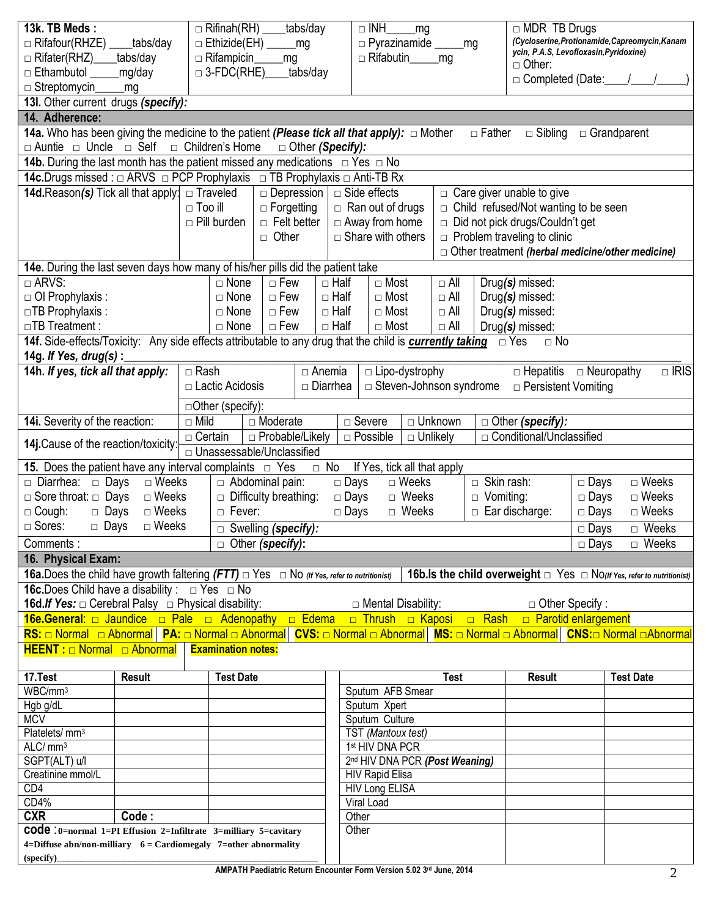| 13k. TB Meds:<br>$\Box$ Rifafour(RHZE)<br>$\Box$ Rifater(RHZ)<br>$\Box$ Ethambutol                                               | _tabs/day<br>tabs/day<br>mg/day |                | $\Box$ Rifinah(RH)<br>$\Box$ Ethizide(EH)<br>$\Box$ Rifampicin<br>$\Box$ 3-FDC(RHE) |              | tabs/day<br>_mg<br>mg<br>tabs/day       |                 | $\Box$ INH<br>$\Box$ Pyrazinamide ________mg<br>□ Rifabutin__ | _mg                   | _mg                       |                   | $\Box$ MDR TB Drugs<br>ycin, P.A.S, Levofloxasin, Pyridoxine)<br>$\Box$ Other:        |             | (Cycloserine, Protionamide, Capreomycin, Kanam                                   |             |
|----------------------------------------------------------------------------------------------------------------------------------|---------------------------------|----------------|-------------------------------------------------------------------------------------|--------------|-----------------------------------------|-----------------|---------------------------------------------------------------|-----------------------|---------------------------|-------------------|---------------------------------------------------------------------------------------|-------------|----------------------------------------------------------------------------------|-------------|
| $\Box$ Streptomycing                                                                                                             | mg                              |                |                                                                                     |              |                                         |                 |                                                               |                       |                           |                   | □ Completed (Date:_                                                                   |             |                                                                                  |             |
| 13I. Other current drugs (specify):                                                                                              |                                 |                |                                                                                     |              |                                         |                 |                                                               |                       |                           |                   |                                                                                       |             |                                                                                  |             |
| 14. Adherence:                                                                                                                   |                                 |                |                                                                                     |              |                                         |                 |                                                               |                       |                           |                   |                                                                                       |             |                                                                                  |             |
| 14a. Who has been giving the medicine to the patient (Please tick all that apply): □ Mother                                      |                                 |                |                                                                                     |              |                                         |                 |                                                               |                       |                           | $\Box$ Father     | $\Box$ Sibling                                                                        |             | $\Box$ Grandparent                                                               |             |
| $\Box$ Auntie $\Box$ Uncle $\Box$ Self $\Box$ Children's Home                                                                    |                                 |                |                                                                                     |              | □ Other (Specify):                      |                 |                                                               |                       |                           |                   |                                                                                       |             |                                                                                  |             |
| <b>14b.</b> During the last month has the patient missed any medications $\Box$ Yes $\Box$ No                                    |                                 |                |                                                                                     |              |                                         |                 |                                                               |                       |                           |                   |                                                                                       |             |                                                                                  |             |
| <b>14c.</b> Drugs missed : □ ARVS □ PCP Prophylaxis □ TB Prophylaxis □ Anti-TB Rx                                                |                                 |                |                                                                                     |              |                                         |                 |                                                               |                       |                           |                   |                                                                                       |             |                                                                                  |             |
| <b>14d.</b> Reason(s) Tick all that apply: $\Box$ Traveled                                                                       |                                 |                |                                                                                     |              | $\Box$ Depression                       |                 | □ Side effects                                                |                       |                           |                   | $\Box$ Care giver unable to give                                                      |             |                                                                                  |             |
|                                                                                                                                  |                                 | $\Box$ Too ill | $\Box$ Pill burden                                                                  |              | $\Box$ Forgetting<br>$\Box$ Felt better |                 | $\Box$ Ran out of drugs<br>$\Box$ Away from home              |                       |                           |                   | $\Box$ Child refused/Not wanting to be seen<br>$\Box$ Did not pick drugs/Couldn't get |             |                                                                                  |             |
|                                                                                                                                  |                                 |                |                                                                                     | $\Box$ Other |                                         |                 | $\Box$ Share with others                                      |                       |                           |                   | $\Box$ Problem traveling to clinic                                                    |             |                                                                                  |             |
|                                                                                                                                  |                                 |                |                                                                                     |              |                                         |                 |                                                               |                       |                           |                   |                                                                                       |             | □ Other treatment (herbal medicine/other medicine)                               |             |
| 14e. During the last seven days how many of his/her pills did the patient take                                                   |                                 |                |                                                                                     |              |                                         |                 |                                                               |                       |                           |                   |                                                                                       |             |                                                                                  |             |
| $\Box$ ARVS:                                                                                                                     |                                 |                | $\Box$ None                                                                         | $\Box$ Few   |                                         | $\Box$ Half     | $\Box$ Most                                                   |                       | $\Box$ All                |                   | Drug(s) missed:                                                                       |             |                                                                                  |             |
| □ OI Prophylaxis :                                                                                                               |                                 |                | $\Box$ None                                                                         | $\Box$ Few   |                                         | $\Box$ Half     | $\Box$ Most                                                   |                       | $\Box$ All                |                   | Drug(s) missed:                                                                       |             |                                                                                  |             |
| $\Box$ TB Prophylaxis:                                                                                                           |                                 |                | $\Box$ None                                                                         | $\Box$ Few   |                                         | $\Box$ Half     | $\Box$ Most                                                   |                       | $\Box$ All                |                   | Drug(s) missed:                                                                       |             |                                                                                  |             |
| □TB Treatment :                                                                                                                  |                                 |                | $\Box$ None                                                                         | $\Box$ Few   |                                         | $\Box$ Half     | $\Box$ Most                                                   |                       | $\Box$ All                |                   | Drug(s) missed:                                                                       |             |                                                                                  |             |
| 14f. Side-effects/Toxicity: Any side effects attributable to any drug that the child is currently taking                         |                                 |                |                                                                                     |              |                                         |                 |                                                               |                       |                           |                   | $\Box$ Yes<br>$\Box$ No                                                               |             |                                                                                  |             |
| 14g. If Yes, drug(s) :                                                                                                           |                                 |                |                                                                                     |              |                                         |                 |                                                               |                       |                           |                   |                                                                                       |             |                                                                                  |             |
| 14h. If yes, tick all that apply:                                                                                                |                                 | $\Box$ Rash    |                                                                                     |              |                                         | $\Box$ Anemia   |                                                               | $\Box$ Lipo-dystrophy |                           |                   | $\Box$ Hepatitis $\Box$ Neuropathy                                                    |             |                                                                                  | $\Box$ IRIS |
|                                                                                                                                  |                                 |                | □ Lactic Acidosis                                                                   |              |                                         | $\Box$ Diarrhea |                                                               |                       | □ Steven-Johnson syndrome |                   | $\Box$ Persistent Vomiting                                                            |             |                                                                                  |             |
|                                                                                                                                  |                                 |                | □Other (specify):                                                                   |              |                                         |                 |                                                               |                       |                           |                   |                                                                                       |             |                                                                                  |             |
| 14i. Severity of the reaction:                                                                                                   |                                 | $\Box$ Mild    |                                                                                     | □ Moderate   |                                         |                 | $\overline{\Box}$ Severe                                      |                       | □ Unknown                 |                   | □ Other (specify):                                                                    |             |                                                                                  |             |
|                                                                                                                                  |                                 | $\Box$ Certain |                                                                                     |              | □ Probable/Likely                       |                 | $\Box$ Possible                                               | $\Box$ Unlikely       |                           |                   | □ Conditional/Unclassified                                                            |             |                                                                                  |             |
| 14j. Cause of the reaction/toxicity:                                                                                             |                                 |                | □ Unassessable/Unclassified                                                         |              |                                         |                 |                                                               |                       |                           |                   |                                                                                       |             |                                                                                  |             |
| <b>15.</b> Does the patient have any interval complaints $\Box$ Yes                                                              |                                 |                |                                                                                     |              |                                         | $\Box$ No       | If Yes, tick all that apply                                   |                       |                           |                   |                                                                                       |             |                                                                                  |             |
| Diarrhea: Days                                                                                                                   | $\Box$ Weeks                    |                | $\Box$ Abdominal pain:                                                              |              |                                         | $\Box$ Days     |                                                               | $\Box$ Weeks          |                           | $\Box$ Skin rash: |                                                                                       | $\Box$ Days | $\Box$ Weeks                                                                     |             |
| $\Box$ Sore throat: $\Box$ Days                                                                                                  | $\Box$ Weeks                    |                | $\Box$ Difficulty breathing:                                                        |              |                                         | $\Box$ Days     |                                                               | $\Box$ Weeks          |                           | $\Box$ Vomiting:  |                                                                                       | $\Box$ Days | $\Box$ Weeks                                                                     |             |
| $\Box$ Cough:<br>$\Box$ Days                                                                                                     | $\Box$ Weeks                    |                | □ Fever:                                                                            |              |                                         | $\Box$ Days     |                                                               | □ Weeks               |                           |                   | $\Box$ Ear discharge:                                                                 | $\Box$ Days | $\Box$ Weeks                                                                     |             |
| $\Box$ Sores:<br>$\Box$ Days                                                                                                     | $\Box$ Weeks                    |                | $\Box$ Swelling (specify):                                                          |              |                                         |                 |                                                               |                       |                           |                   |                                                                                       | $\Box$ Days | □ Weeks                                                                          |             |
| Comments:                                                                                                                        |                                 |                | $\Box$ Other (specify):                                                             |              |                                         |                 |                                                               |                       |                           |                   |                                                                                       | $\Box$ Days | □ Weeks                                                                          |             |
| 16. Physical Exam:                                                                                                               |                                 |                |                                                                                     |              |                                         |                 |                                                               |                       |                           |                   |                                                                                       |             |                                                                                  |             |
| 16a. Does the child have growth faltering $(FTT)$ $\Box$ Yes $\Box$ No (If Yes, refer to nutritionist)                           |                                 |                |                                                                                     |              |                                         |                 |                                                               |                       |                           |                   |                                                                                       |             | 16b. Is the child overweight $\Box$ Yes $\Box$ No(If Yes, refer to nutritionist) |             |
| <b>16c.</b> Does Child have a disability : $\Box$ Yes $\Box$ No                                                                  |                                 |                |                                                                                     |              |                                         |                 |                                                               |                       |                           |                   |                                                                                       |             |                                                                                  |             |
| <b>16d.If Yes:</b> $\Box$ Cerebral Palsy $\Box$ Physical disability:                                                             |                                 |                |                                                                                     |              |                                         |                 | $\Box$ Mental Disability:                                     |                       |                           |                   | $\Box$ Other Specify :                                                                |             |                                                                                  |             |
| 16e.General: a Jaundice a Pale a Adenopathy a Edema a Thrush a Kaposi a Rash a Parotid enlargement                               |                                 |                |                                                                                     |              |                                         |                 |                                                               |                       |                           |                   |                                                                                       |             |                                                                                  |             |
| RS: □ Normal □ Abnormal   PA: □ Normal □ Abnormal   CVS: □ Normal □ Abnormal   MS: □ Normal □ Abnormal   CNS: □ Normal □Abnormal |                                 |                |                                                                                     |              |                                         |                 |                                                               |                       |                           |                   |                                                                                       |             |                                                                                  |             |
| $HEENT: \Box$ Normal $\Box$ Abnormal                                                                                             |                                 |                | <b>Examination notes:</b>                                                           |              |                                         |                 |                                                               |                       |                           |                   |                                                                                       |             |                                                                                  |             |
|                                                                                                                                  |                                 |                |                                                                                     |              |                                         |                 |                                                               |                       |                           |                   |                                                                                       |             |                                                                                  |             |
| 17.Test                                                                                                                          | <b>Result</b>                   |                | <b>Test Date</b>                                                                    |              |                                         |                 |                                                               |                       | <b>Test</b>               |                   | <b>Result</b>                                                                         |             | <b>Test Date</b>                                                                 |             |
| WBC/mm <sup>3</sup>                                                                                                              |                                 |                |                                                                                     |              |                                         |                 | Sputum AFB Smear                                              |                       |                           |                   |                                                                                       |             |                                                                                  |             |
| Hgb g/dL                                                                                                                         |                                 |                |                                                                                     |              |                                         |                 | Sputum Xpert                                                  |                       |                           |                   |                                                                                       |             |                                                                                  |             |
| <b>MCV</b>                                                                                                                       |                                 |                |                                                                                     |              |                                         |                 | Sputum Culture                                                |                       |                           |                   |                                                                                       |             |                                                                                  |             |
| Platelets/mm <sup>3</sup><br>ALC/ mm <sup>3</sup>                                                                                |                                 |                |                                                                                     |              |                                         |                 | TST (Mantoux test)<br>1st HIV DNA PCR                         |                       |                           |                   |                                                                                       |             |                                                                                  |             |
| SGPT(ALT) u/l                                                                                                                    |                                 |                |                                                                                     |              |                                         |                 | 2nd HIV DNA PCR (Post Weaning)                                |                       |                           |                   |                                                                                       |             |                                                                                  |             |
| Creatinine mmol/L                                                                                                                |                                 |                |                                                                                     |              |                                         |                 | <b>HIV Rapid Elisa</b>                                        |                       |                           |                   |                                                                                       |             |                                                                                  |             |
| CD4                                                                                                                              |                                 |                |                                                                                     |              |                                         |                 | <b>HIV Long ELISA</b>                                         |                       |                           |                   |                                                                                       |             |                                                                                  |             |
| CD4%                                                                                                                             |                                 |                |                                                                                     |              |                                         |                 | Viral Load                                                    |                       |                           |                   |                                                                                       |             |                                                                                  |             |
| <b>CXR</b>                                                                                                                       | Code:                           |                |                                                                                     |              |                                         |                 | Other                                                         |                       |                           |                   |                                                                                       |             |                                                                                  |             |
| <b>COde</b> : 0=normal 1=PI Effusion 2=Infiltrate 3=milliary 5=cavitary                                                          |                                 |                |                                                                                     |              |                                         |                 | Other                                                         |                       |                           |                   |                                                                                       |             |                                                                                  |             |
| 4=Diffuse abn/non-milliary $6 =$ Cardiomegaly 7=other abnormality                                                                |                                 |                |                                                                                     |              |                                         |                 |                                                               |                       |                           |                   |                                                                                       |             |                                                                                  |             |
| (specify)_                                                                                                                       |                                 |                |                                                                                     |              |                                         |                 |                                                               |                       |                           |                   |                                                                                       |             |                                                                                  |             |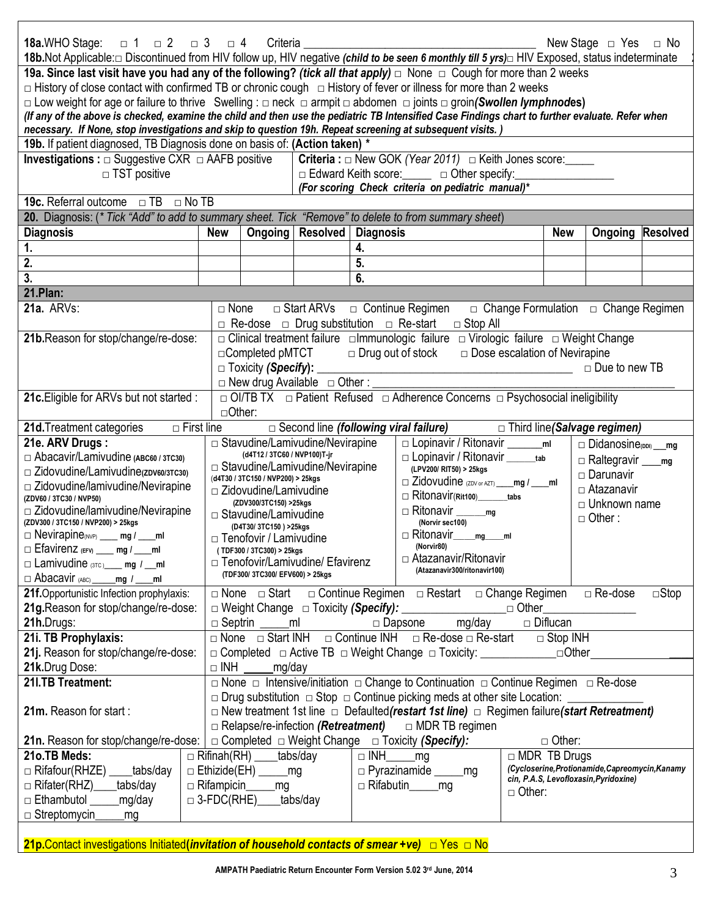| 18b. Not Applicable:□ Discontinued from HIV follow up, HIV negative (child to be seen 6 monthly till 5 yrs)□ HIV Exposed, status indeterminate<br>19a. Since last visit have you had any of the following? (tick all that apply) $\Box$ None $\Box$ Cough for more than 2 weeks<br>$\Box$ History of close contact with confirmed TB or chronic cough $\Box$ History of fever or illness for more than 2 weeks<br>$\Box$ Low weight for age or failure to thrive Swelling : $\Box$ neck $\Box$ armpit $\Box$ abdomen $\Box$ joints $\Box$ groin(Swollen lymphnodes)<br>(If any of the above is checked, examine the child and then use the pediatric TB Intensified Case Findings chart to further evaluate. Refer when<br>necessary. If None, stop investigations and skip to question 19h. Repeat screening at subsequent visits.)<br>19b. If patient diagnosed, TB Diagnosis done on basis of: (Action taken) *<br><b>Investigations :</b> $\Box$ Suggestive CXR $\Box$ AAFB positive<br><b>Criteria</b> : $\Box$ New GOK (Year 2011) $\Box$ Keith Jones score:<br>□ Edward Keith score: □ □ Other specify:<br>$\Box$ TST positive<br>(For scoring Check criteria on pediatric manual)*<br><b>19c.</b> Referral outcome $\Box$ TB $\Box$ No TB<br>20. Diagnosis: (* Tick "Add" to add to summary sheet. Tick "Remove" to delete to from summary sheet)<br><b>Diagnosis</b><br>Ongoing   Resolved   Diagnosis<br><b>New</b><br><b>New</b><br><b>Ongoing Resolved</b><br>$\mathbf{1}$ .<br>4.<br>2.<br>5.<br>$\overline{3}$ .<br>6.<br>21.Plan:<br>21a. ARVs:<br>$\Box$ Start ARVs $\Box$ Continue Regimen<br>$\Box$ Change Formulation $\Box$ Change Regimen<br>$\Box$ None<br>$\Box$ Re-dose $\Box$ Drug substitution $\Box$ Re-start<br>$\Box$ Stop All<br>□ Clinical treatment failure □ mmunologic failure □ Virologic failure □ Weight Change<br>21b.Reason for stop/change/re-dose:<br>$\Box$ Completed pMTCT<br>$\Box$ Drug out of stock $\Box$ Dose escalation of Nevirapine<br>$\Box$ Toxicity (Specify): $\Box$<br>□ Due to new TB<br>$\Box$ New drug Available $\Box$ Other : __<br>□ OI/TB TX □ Patient Refused □ Adherence Concerns □ Psychosocial ineligibility<br>21c. Eligible for ARVs but not started :<br>$\Box$ Other:<br>21d. Treatment categories<br>$\Box$ First line<br>$\Box$ Second line (following viral failure)<br>□ Third line(Salvage regimen)<br>21e. ARV Drugs:<br>$\Box$ Stavudine/Lamivudine/Nevirapine<br>$\Box$ Didanosine <sub>(DDI)</sub> mg<br>(d4T12 / 3TC60 / NVP100)T-jr<br>□ Abacavir/Lamivudine (ABC60 / 3TC30)<br>□ Lopinavir / Ritonavir _______tab<br>$\Box$ Raltegravir _____ mg<br>$\Box$ Stavudine/Lamivudine/Nevirapine<br>(LPV200/ RIT50) > 25kgs<br>$\Box$ Zidovudine/Lamivudine(zDV60/3TC30)<br>$\Box$ Darunavir<br>(d4T30 / 3TC150 / NVP200) > 25kgs<br>$\Box$ Zidovudine (ZDV or AZT) ____ mg / ____ ml<br>$\Box$ Zidovudine/lamivudine/Nevirapine<br>□ Atazanavir<br>$\Box$ Zidovudine/Lamivudine<br>$\Box$ Ritonavir(Rit100) tabs<br>(ZDV60 / 3TC30 / NVP50)<br>(ZDV300/3TC150) >25kgs<br>$\Box$ Unknown name<br>□ Zidovudine/lamivudine/Nevirapine<br>$\Box$ Stavudine/Lamivudine<br>$\Box$ Other:<br>(ZDV300 / 3TC150 / NVP200) > 25kgs<br>(Norvir sec100)<br>(D4T30/3TC150) >25kgs<br>□ Ritonavir____mg____ml<br>$\Box$ Nevirapine(NVP) ____ mg / ____ml<br>$\Box$ Tenofovir / Lamivudine<br>(Norvir80)<br>$\Box$ Efavirenz (EFV) ____ mg / ____ ml<br>(TDF300 / 3TC300) > 25kgs<br>□ Atazanavir/Ritonavir<br>$\Box$ Tenofovir/Lamivudine/ Efavirenz<br>$\Box$ Lamivudine (3TC) ____ mg / __ml<br>(Atazanavir300/ritonavir100)<br>(TDF300/3TC300/EFV600) > 25kgs<br>$\Box$ Abacavir (ABC)<br>$mg / \_\$<br>21f. Opportunistic Infection prophylaxis:<br>□ None □ Start □ Continue Regimen □ Restart □ Change Regimen<br>$\Box$ Re-dose<br>21g. Reason for stop/change/re-dose:<br>□ Other<br>mg/day<br>21h.Drugs:<br>$\Box$ Septrin<br>$\Box$ Dapsone<br>$\Box$ Diflucan<br>ml<br>21i. TB Prophylaxis:<br>$\Box$ Continue INH $\Box$ Re-dose $\Box$ Re-start<br>$\Box$ None $\Box$ Start INH<br>$\Box$ Stop INH<br>21j. Reason for stop/change/re-dose:<br>□ Completed □ Active TB □ Weight Change □ Toxicity: ____________________________<br>$\Box$ Other | <b>18a.WHO Stage:</b> $\Box$ 1 $\Box$ 2 $\Box$ 3 $\Box$ 4 Criteria ____ |  |  |             |  |  |  | New Stage $\Box$ Yes $\Box$ No |  |  |  |
|-----------------------------------------------------------------------------------------------------------------------------------------------------------------------------------------------------------------------------------------------------------------------------------------------------------------------------------------------------------------------------------------------------------------------------------------------------------------------------------------------------------------------------------------------------------------------------------------------------------------------------------------------------------------------------------------------------------------------------------------------------------------------------------------------------------------------------------------------------------------------------------------------------------------------------------------------------------------------------------------------------------------------------------------------------------------------------------------------------------------------------------------------------------------------------------------------------------------------------------------------------------------------------------------------------------------------------------------------------------------------------------------------------------------------------------------------------------------------------------------------------------------------------------------------------------------------------------------------------------------------------------------------------------------------------------------------------------------------------------------------------------------------------------------------------------------------------------------------------------------------------------------------------------------------------------------------------------------------------------------------------------------------------------------------------------------------------------------------------------------------------------------------------------------------------------------------------------------------------------------------------------------------------------------------------------------------------------------------------------------------------------------------------------------------------------------------------------------------------------------------------------------------------------------------------------------------------------------------------------------------------------------------------------------------------------------------------------------------------------------------------------------------------------------------------------------------------------------------------------------------------------------------------------------------------------------------------------------------------------------------------------------------------------------------------------------------------------------------------------------------------------------------------------------------------------------------------------------------------------------------------------------------------------------------------------------------------------------------------------------------------------------------------------------------------------------------------------------------------------------------------------------------------------------------------------------------------------------------------------------------------------------------------------------------------------------------------------------------------------------------------------------------------------------------------------------------------------------------------------------------------------------------------------------------------------------------------------------------------------------------------------------------------------------------------------------------------------------------------------------------------------------------------------------------------------------------------------------------------|-------------------------------------------------------------------------|--|--|-------------|--|--|--|--------------------------------|--|--|--|
|                                                                                                                                                                                                                                                                                                                                                                                                                                                                                                                                                                                                                                                                                                                                                                                                                                                                                                                                                                                                                                                                                                                                                                                                                                                                                                                                                                                                                                                                                                                                                                                                                                                                                                                                                                                                                                                                                                                                                                                                                                                                                                                                                                                                                                                                                                                                                                                                                                                                                                                                                                                                                                                                                                                                                                                                                                                                                                                                                                                                                                                                                                                                                                                                                                                                                                                                                                                                                                                                                                                                                                                                                                                                                                                                                                                                                                                                                                                                                                                                                                                                                                                                                                                                                             |                                                                         |  |  |             |  |  |  |                                |  |  |  |
|                                                                                                                                                                                                                                                                                                                                                                                                                                                                                                                                                                                                                                                                                                                                                                                                                                                                                                                                                                                                                                                                                                                                                                                                                                                                                                                                                                                                                                                                                                                                                                                                                                                                                                                                                                                                                                                                                                                                                                                                                                                                                                                                                                                                                                                                                                                                                                                                                                                                                                                                                                                                                                                                                                                                                                                                                                                                                                                                                                                                                                                                                                                                                                                                                                                                                                                                                                                                                                                                                                                                                                                                                                                                                                                                                                                                                                                                                                                                                                                                                                                                                                                                                                                                                             |                                                                         |  |  |             |  |  |  |                                |  |  |  |
|                                                                                                                                                                                                                                                                                                                                                                                                                                                                                                                                                                                                                                                                                                                                                                                                                                                                                                                                                                                                                                                                                                                                                                                                                                                                                                                                                                                                                                                                                                                                                                                                                                                                                                                                                                                                                                                                                                                                                                                                                                                                                                                                                                                                                                                                                                                                                                                                                                                                                                                                                                                                                                                                                                                                                                                                                                                                                                                                                                                                                                                                                                                                                                                                                                                                                                                                                                                                                                                                                                                                                                                                                                                                                                                                                                                                                                                                                                                                                                                                                                                                                                                                                                                                                             |                                                                         |  |  |             |  |  |  |                                |  |  |  |
|                                                                                                                                                                                                                                                                                                                                                                                                                                                                                                                                                                                                                                                                                                                                                                                                                                                                                                                                                                                                                                                                                                                                                                                                                                                                                                                                                                                                                                                                                                                                                                                                                                                                                                                                                                                                                                                                                                                                                                                                                                                                                                                                                                                                                                                                                                                                                                                                                                                                                                                                                                                                                                                                                                                                                                                                                                                                                                                                                                                                                                                                                                                                                                                                                                                                                                                                                                                                                                                                                                                                                                                                                                                                                                                                                                                                                                                                                                                                                                                                                                                                                                                                                                                                                             |                                                                         |  |  |             |  |  |  |                                |  |  |  |
|                                                                                                                                                                                                                                                                                                                                                                                                                                                                                                                                                                                                                                                                                                                                                                                                                                                                                                                                                                                                                                                                                                                                                                                                                                                                                                                                                                                                                                                                                                                                                                                                                                                                                                                                                                                                                                                                                                                                                                                                                                                                                                                                                                                                                                                                                                                                                                                                                                                                                                                                                                                                                                                                                                                                                                                                                                                                                                                                                                                                                                                                                                                                                                                                                                                                                                                                                                                                                                                                                                                                                                                                                                                                                                                                                                                                                                                                                                                                                                                                                                                                                                                                                                                                                             |                                                                         |  |  |             |  |  |  |                                |  |  |  |
|                                                                                                                                                                                                                                                                                                                                                                                                                                                                                                                                                                                                                                                                                                                                                                                                                                                                                                                                                                                                                                                                                                                                                                                                                                                                                                                                                                                                                                                                                                                                                                                                                                                                                                                                                                                                                                                                                                                                                                                                                                                                                                                                                                                                                                                                                                                                                                                                                                                                                                                                                                                                                                                                                                                                                                                                                                                                                                                                                                                                                                                                                                                                                                                                                                                                                                                                                                                                                                                                                                                                                                                                                                                                                                                                                                                                                                                                                                                                                                                                                                                                                                                                                                                                                             |                                                                         |  |  |             |  |  |  |                                |  |  |  |
|                                                                                                                                                                                                                                                                                                                                                                                                                                                                                                                                                                                                                                                                                                                                                                                                                                                                                                                                                                                                                                                                                                                                                                                                                                                                                                                                                                                                                                                                                                                                                                                                                                                                                                                                                                                                                                                                                                                                                                                                                                                                                                                                                                                                                                                                                                                                                                                                                                                                                                                                                                                                                                                                                                                                                                                                                                                                                                                                                                                                                                                                                                                                                                                                                                                                                                                                                                                                                                                                                                                                                                                                                                                                                                                                                                                                                                                                                                                                                                                                                                                                                                                                                                                                                             |                                                                         |  |  |             |  |  |  |                                |  |  |  |
|                                                                                                                                                                                                                                                                                                                                                                                                                                                                                                                                                                                                                                                                                                                                                                                                                                                                                                                                                                                                                                                                                                                                                                                                                                                                                                                                                                                                                                                                                                                                                                                                                                                                                                                                                                                                                                                                                                                                                                                                                                                                                                                                                                                                                                                                                                                                                                                                                                                                                                                                                                                                                                                                                                                                                                                                                                                                                                                                                                                                                                                                                                                                                                                                                                                                                                                                                                                                                                                                                                                                                                                                                                                                                                                                                                                                                                                                                                                                                                                                                                                                                                                                                                                                                             |                                                                         |  |  |             |  |  |  |                                |  |  |  |
|                                                                                                                                                                                                                                                                                                                                                                                                                                                                                                                                                                                                                                                                                                                                                                                                                                                                                                                                                                                                                                                                                                                                                                                                                                                                                                                                                                                                                                                                                                                                                                                                                                                                                                                                                                                                                                                                                                                                                                                                                                                                                                                                                                                                                                                                                                                                                                                                                                                                                                                                                                                                                                                                                                                                                                                                                                                                                                                                                                                                                                                                                                                                                                                                                                                                                                                                                                                                                                                                                                                                                                                                                                                                                                                                                                                                                                                                                                                                                                                                                                                                                                                                                                                                                             |                                                                         |  |  |             |  |  |  |                                |  |  |  |
|                                                                                                                                                                                                                                                                                                                                                                                                                                                                                                                                                                                                                                                                                                                                                                                                                                                                                                                                                                                                                                                                                                                                                                                                                                                                                                                                                                                                                                                                                                                                                                                                                                                                                                                                                                                                                                                                                                                                                                                                                                                                                                                                                                                                                                                                                                                                                                                                                                                                                                                                                                                                                                                                                                                                                                                                                                                                                                                                                                                                                                                                                                                                                                                                                                                                                                                                                                                                                                                                                                                                                                                                                                                                                                                                                                                                                                                                                                                                                                                                                                                                                                                                                                                                                             |                                                                         |  |  |             |  |  |  |                                |  |  |  |
|                                                                                                                                                                                                                                                                                                                                                                                                                                                                                                                                                                                                                                                                                                                                                                                                                                                                                                                                                                                                                                                                                                                                                                                                                                                                                                                                                                                                                                                                                                                                                                                                                                                                                                                                                                                                                                                                                                                                                                                                                                                                                                                                                                                                                                                                                                                                                                                                                                                                                                                                                                                                                                                                                                                                                                                                                                                                                                                                                                                                                                                                                                                                                                                                                                                                                                                                                                                                                                                                                                                                                                                                                                                                                                                                                                                                                                                                                                                                                                                                                                                                                                                                                                                                                             |                                                                         |  |  |             |  |  |  |                                |  |  |  |
|                                                                                                                                                                                                                                                                                                                                                                                                                                                                                                                                                                                                                                                                                                                                                                                                                                                                                                                                                                                                                                                                                                                                                                                                                                                                                                                                                                                                                                                                                                                                                                                                                                                                                                                                                                                                                                                                                                                                                                                                                                                                                                                                                                                                                                                                                                                                                                                                                                                                                                                                                                                                                                                                                                                                                                                                                                                                                                                                                                                                                                                                                                                                                                                                                                                                                                                                                                                                                                                                                                                                                                                                                                                                                                                                                                                                                                                                                                                                                                                                                                                                                                                                                                                                                             |                                                                         |  |  |             |  |  |  |                                |  |  |  |
|                                                                                                                                                                                                                                                                                                                                                                                                                                                                                                                                                                                                                                                                                                                                                                                                                                                                                                                                                                                                                                                                                                                                                                                                                                                                                                                                                                                                                                                                                                                                                                                                                                                                                                                                                                                                                                                                                                                                                                                                                                                                                                                                                                                                                                                                                                                                                                                                                                                                                                                                                                                                                                                                                                                                                                                                                                                                                                                                                                                                                                                                                                                                                                                                                                                                                                                                                                                                                                                                                                                                                                                                                                                                                                                                                                                                                                                                                                                                                                                                                                                                                                                                                                                                                             |                                                                         |  |  |             |  |  |  |                                |  |  |  |
|                                                                                                                                                                                                                                                                                                                                                                                                                                                                                                                                                                                                                                                                                                                                                                                                                                                                                                                                                                                                                                                                                                                                                                                                                                                                                                                                                                                                                                                                                                                                                                                                                                                                                                                                                                                                                                                                                                                                                                                                                                                                                                                                                                                                                                                                                                                                                                                                                                                                                                                                                                                                                                                                                                                                                                                                                                                                                                                                                                                                                                                                                                                                                                                                                                                                                                                                                                                                                                                                                                                                                                                                                                                                                                                                                                                                                                                                                                                                                                                                                                                                                                                                                                                                                             |                                                                         |  |  |             |  |  |  |                                |  |  |  |
|                                                                                                                                                                                                                                                                                                                                                                                                                                                                                                                                                                                                                                                                                                                                                                                                                                                                                                                                                                                                                                                                                                                                                                                                                                                                                                                                                                                                                                                                                                                                                                                                                                                                                                                                                                                                                                                                                                                                                                                                                                                                                                                                                                                                                                                                                                                                                                                                                                                                                                                                                                                                                                                                                                                                                                                                                                                                                                                                                                                                                                                                                                                                                                                                                                                                                                                                                                                                                                                                                                                                                                                                                                                                                                                                                                                                                                                                                                                                                                                                                                                                                                                                                                                                                             |                                                                         |  |  |             |  |  |  |                                |  |  |  |
|                                                                                                                                                                                                                                                                                                                                                                                                                                                                                                                                                                                                                                                                                                                                                                                                                                                                                                                                                                                                                                                                                                                                                                                                                                                                                                                                                                                                                                                                                                                                                                                                                                                                                                                                                                                                                                                                                                                                                                                                                                                                                                                                                                                                                                                                                                                                                                                                                                                                                                                                                                                                                                                                                                                                                                                                                                                                                                                                                                                                                                                                                                                                                                                                                                                                                                                                                                                                                                                                                                                                                                                                                                                                                                                                                                                                                                                                                                                                                                                                                                                                                                                                                                                                                             |                                                                         |  |  |             |  |  |  |                                |  |  |  |
|                                                                                                                                                                                                                                                                                                                                                                                                                                                                                                                                                                                                                                                                                                                                                                                                                                                                                                                                                                                                                                                                                                                                                                                                                                                                                                                                                                                                                                                                                                                                                                                                                                                                                                                                                                                                                                                                                                                                                                                                                                                                                                                                                                                                                                                                                                                                                                                                                                                                                                                                                                                                                                                                                                                                                                                                                                                                                                                                                                                                                                                                                                                                                                                                                                                                                                                                                                                                                                                                                                                                                                                                                                                                                                                                                                                                                                                                                                                                                                                                                                                                                                                                                                                                                             |                                                                         |  |  |             |  |  |  |                                |  |  |  |
|                                                                                                                                                                                                                                                                                                                                                                                                                                                                                                                                                                                                                                                                                                                                                                                                                                                                                                                                                                                                                                                                                                                                                                                                                                                                                                                                                                                                                                                                                                                                                                                                                                                                                                                                                                                                                                                                                                                                                                                                                                                                                                                                                                                                                                                                                                                                                                                                                                                                                                                                                                                                                                                                                                                                                                                                                                                                                                                                                                                                                                                                                                                                                                                                                                                                                                                                                                                                                                                                                                                                                                                                                                                                                                                                                                                                                                                                                                                                                                                                                                                                                                                                                                                                                             |                                                                         |  |  |             |  |  |  |                                |  |  |  |
|                                                                                                                                                                                                                                                                                                                                                                                                                                                                                                                                                                                                                                                                                                                                                                                                                                                                                                                                                                                                                                                                                                                                                                                                                                                                                                                                                                                                                                                                                                                                                                                                                                                                                                                                                                                                                                                                                                                                                                                                                                                                                                                                                                                                                                                                                                                                                                                                                                                                                                                                                                                                                                                                                                                                                                                                                                                                                                                                                                                                                                                                                                                                                                                                                                                                                                                                                                                                                                                                                                                                                                                                                                                                                                                                                                                                                                                                                                                                                                                                                                                                                                                                                                                                                             |                                                                         |  |  |             |  |  |  |                                |  |  |  |
|                                                                                                                                                                                                                                                                                                                                                                                                                                                                                                                                                                                                                                                                                                                                                                                                                                                                                                                                                                                                                                                                                                                                                                                                                                                                                                                                                                                                                                                                                                                                                                                                                                                                                                                                                                                                                                                                                                                                                                                                                                                                                                                                                                                                                                                                                                                                                                                                                                                                                                                                                                                                                                                                                                                                                                                                                                                                                                                                                                                                                                                                                                                                                                                                                                                                                                                                                                                                                                                                                                                                                                                                                                                                                                                                                                                                                                                                                                                                                                                                                                                                                                                                                                                                                             |                                                                         |  |  |             |  |  |  |                                |  |  |  |
|                                                                                                                                                                                                                                                                                                                                                                                                                                                                                                                                                                                                                                                                                                                                                                                                                                                                                                                                                                                                                                                                                                                                                                                                                                                                                                                                                                                                                                                                                                                                                                                                                                                                                                                                                                                                                                                                                                                                                                                                                                                                                                                                                                                                                                                                                                                                                                                                                                                                                                                                                                                                                                                                                                                                                                                                                                                                                                                                                                                                                                                                                                                                                                                                                                                                                                                                                                                                                                                                                                                                                                                                                                                                                                                                                                                                                                                                                                                                                                                                                                                                                                                                                                                                                             |                                                                         |  |  |             |  |  |  |                                |  |  |  |
|                                                                                                                                                                                                                                                                                                                                                                                                                                                                                                                                                                                                                                                                                                                                                                                                                                                                                                                                                                                                                                                                                                                                                                                                                                                                                                                                                                                                                                                                                                                                                                                                                                                                                                                                                                                                                                                                                                                                                                                                                                                                                                                                                                                                                                                                                                                                                                                                                                                                                                                                                                                                                                                                                                                                                                                                                                                                                                                                                                                                                                                                                                                                                                                                                                                                                                                                                                                                                                                                                                                                                                                                                                                                                                                                                                                                                                                                                                                                                                                                                                                                                                                                                                                                                             |                                                                         |  |  |             |  |  |  |                                |  |  |  |
|                                                                                                                                                                                                                                                                                                                                                                                                                                                                                                                                                                                                                                                                                                                                                                                                                                                                                                                                                                                                                                                                                                                                                                                                                                                                                                                                                                                                                                                                                                                                                                                                                                                                                                                                                                                                                                                                                                                                                                                                                                                                                                                                                                                                                                                                                                                                                                                                                                                                                                                                                                                                                                                                                                                                                                                                                                                                                                                                                                                                                                                                                                                                                                                                                                                                                                                                                                                                                                                                                                                                                                                                                                                                                                                                                                                                                                                                                                                                                                                                                                                                                                                                                                                                                             |                                                                         |  |  |             |  |  |  |                                |  |  |  |
|                                                                                                                                                                                                                                                                                                                                                                                                                                                                                                                                                                                                                                                                                                                                                                                                                                                                                                                                                                                                                                                                                                                                                                                                                                                                                                                                                                                                                                                                                                                                                                                                                                                                                                                                                                                                                                                                                                                                                                                                                                                                                                                                                                                                                                                                                                                                                                                                                                                                                                                                                                                                                                                                                                                                                                                                                                                                                                                                                                                                                                                                                                                                                                                                                                                                                                                                                                                                                                                                                                                                                                                                                                                                                                                                                                                                                                                                                                                                                                                                                                                                                                                                                                                                                             |                                                                         |  |  |             |  |  |  |                                |  |  |  |
|                                                                                                                                                                                                                                                                                                                                                                                                                                                                                                                                                                                                                                                                                                                                                                                                                                                                                                                                                                                                                                                                                                                                                                                                                                                                                                                                                                                                                                                                                                                                                                                                                                                                                                                                                                                                                                                                                                                                                                                                                                                                                                                                                                                                                                                                                                                                                                                                                                                                                                                                                                                                                                                                                                                                                                                                                                                                                                                                                                                                                                                                                                                                                                                                                                                                                                                                                                                                                                                                                                                                                                                                                                                                                                                                                                                                                                                                                                                                                                                                                                                                                                                                                                                                                             |                                                                         |  |  |             |  |  |  |                                |  |  |  |
|                                                                                                                                                                                                                                                                                                                                                                                                                                                                                                                                                                                                                                                                                                                                                                                                                                                                                                                                                                                                                                                                                                                                                                                                                                                                                                                                                                                                                                                                                                                                                                                                                                                                                                                                                                                                                                                                                                                                                                                                                                                                                                                                                                                                                                                                                                                                                                                                                                                                                                                                                                                                                                                                                                                                                                                                                                                                                                                                                                                                                                                                                                                                                                                                                                                                                                                                                                                                                                                                                                                                                                                                                                                                                                                                                                                                                                                                                                                                                                                                                                                                                                                                                                                                                             |                                                                         |  |  |             |  |  |  |                                |  |  |  |
|                                                                                                                                                                                                                                                                                                                                                                                                                                                                                                                                                                                                                                                                                                                                                                                                                                                                                                                                                                                                                                                                                                                                                                                                                                                                                                                                                                                                                                                                                                                                                                                                                                                                                                                                                                                                                                                                                                                                                                                                                                                                                                                                                                                                                                                                                                                                                                                                                                                                                                                                                                                                                                                                                                                                                                                                                                                                                                                                                                                                                                                                                                                                                                                                                                                                                                                                                                                                                                                                                                                                                                                                                                                                                                                                                                                                                                                                                                                                                                                                                                                                                                                                                                                                                             |                                                                         |  |  |             |  |  |  |                                |  |  |  |
|                                                                                                                                                                                                                                                                                                                                                                                                                                                                                                                                                                                                                                                                                                                                                                                                                                                                                                                                                                                                                                                                                                                                                                                                                                                                                                                                                                                                                                                                                                                                                                                                                                                                                                                                                                                                                                                                                                                                                                                                                                                                                                                                                                                                                                                                                                                                                                                                                                                                                                                                                                                                                                                                                                                                                                                                                                                                                                                                                                                                                                                                                                                                                                                                                                                                                                                                                                                                                                                                                                                                                                                                                                                                                                                                                                                                                                                                                                                                                                                                                                                                                                                                                                                                                             |                                                                         |  |  |             |  |  |  |                                |  |  |  |
|                                                                                                                                                                                                                                                                                                                                                                                                                                                                                                                                                                                                                                                                                                                                                                                                                                                                                                                                                                                                                                                                                                                                                                                                                                                                                                                                                                                                                                                                                                                                                                                                                                                                                                                                                                                                                                                                                                                                                                                                                                                                                                                                                                                                                                                                                                                                                                                                                                                                                                                                                                                                                                                                                                                                                                                                                                                                                                                                                                                                                                                                                                                                                                                                                                                                                                                                                                                                                                                                                                                                                                                                                                                                                                                                                                                                                                                                                                                                                                                                                                                                                                                                                                                                                             |                                                                         |  |  |             |  |  |  |                                |  |  |  |
|                                                                                                                                                                                                                                                                                                                                                                                                                                                                                                                                                                                                                                                                                                                                                                                                                                                                                                                                                                                                                                                                                                                                                                                                                                                                                                                                                                                                                                                                                                                                                                                                                                                                                                                                                                                                                                                                                                                                                                                                                                                                                                                                                                                                                                                                                                                                                                                                                                                                                                                                                                                                                                                                                                                                                                                                                                                                                                                                                                                                                                                                                                                                                                                                                                                                                                                                                                                                                                                                                                                                                                                                                                                                                                                                                                                                                                                                                                                                                                                                                                                                                                                                                                                                                             |                                                                         |  |  |             |  |  |  |                                |  |  |  |
|                                                                                                                                                                                                                                                                                                                                                                                                                                                                                                                                                                                                                                                                                                                                                                                                                                                                                                                                                                                                                                                                                                                                                                                                                                                                                                                                                                                                                                                                                                                                                                                                                                                                                                                                                                                                                                                                                                                                                                                                                                                                                                                                                                                                                                                                                                                                                                                                                                                                                                                                                                                                                                                                                                                                                                                                                                                                                                                                                                                                                                                                                                                                                                                                                                                                                                                                                                                                                                                                                                                                                                                                                                                                                                                                                                                                                                                                                                                                                                                                                                                                                                                                                                                                                             |                                                                         |  |  |             |  |  |  |                                |  |  |  |
|                                                                                                                                                                                                                                                                                                                                                                                                                                                                                                                                                                                                                                                                                                                                                                                                                                                                                                                                                                                                                                                                                                                                                                                                                                                                                                                                                                                                                                                                                                                                                                                                                                                                                                                                                                                                                                                                                                                                                                                                                                                                                                                                                                                                                                                                                                                                                                                                                                                                                                                                                                                                                                                                                                                                                                                                                                                                                                                                                                                                                                                                                                                                                                                                                                                                                                                                                                                                                                                                                                                                                                                                                                                                                                                                                                                                                                                                                                                                                                                                                                                                                                                                                                                                                             |                                                                         |  |  |             |  |  |  |                                |  |  |  |
|                                                                                                                                                                                                                                                                                                                                                                                                                                                                                                                                                                                                                                                                                                                                                                                                                                                                                                                                                                                                                                                                                                                                                                                                                                                                                                                                                                                                                                                                                                                                                                                                                                                                                                                                                                                                                                                                                                                                                                                                                                                                                                                                                                                                                                                                                                                                                                                                                                                                                                                                                                                                                                                                                                                                                                                                                                                                                                                                                                                                                                                                                                                                                                                                                                                                                                                                                                                                                                                                                                                                                                                                                                                                                                                                                                                                                                                                                                                                                                                                                                                                                                                                                                                                                             |                                                                         |  |  | $\Box$ Stop |  |  |  |                                |  |  |  |
|                                                                                                                                                                                                                                                                                                                                                                                                                                                                                                                                                                                                                                                                                                                                                                                                                                                                                                                                                                                                                                                                                                                                                                                                                                                                                                                                                                                                                                                                                                                                                                                                                                                                                                                                                                                                                                                                                                                                                                                                                                                                                                                                                                                                                                                                                                                                                                                                                                                                                                                                                                                                                                                                                                                                                                                                                                                                                                                                                                                                                                                                                                                                                                                                                                                                                                                                                                                                                                                                                                                                                                                                                                                                                                                                                                                                                                                                                                                                                                                                                                                                                                                                                                                                                             |                                                                         |  |  |             |  |  |  |                                |  |  |  |
|                                                                                                                                                                                                                                                                                                                                                                                                                                                                                                                                                                                                                                                                                                                                                                                                                                                                                                                                                                                                                                                                                                                                                                                                                                                                                                                                                                                                                                                                                                                                                                                                                                                                                                                                                                                                                                                                                                                                                                                                                                                                                                                                                                                                                                                                                                                                                                                                                                                                                                                                                                                                                                                                                                                                                                                                                                                                                                                                                                                                                                                                                                                                                                                                                                                                                                                                                                                                                                                                                                                                                                                                                                                                                                                                                                                                                                                                                                                                                                                                                                                                                                                                                                                                                             |                                                                         |  |  |             |  |  |  |                                |  |  |  |
|                                                                                                                                                                                                                                                                                                                                                                                                                                                                                                                                                                                                                                                                                                                                                                                                                                                                                                                                                                                                                                                                                                                                                                                                                                                                                                                                                                                                                                                                                                                                                                                                                                                                                                                                                                                                                                                                                                                                                                                                                                                                                                                                                                                                                                                                                                                                                                                                                                                                                                                                                                                                                                                                                                                                                                                                                                                                                                                                                                                                                                                                                                                                                                                                                                                                                                                                                                                                                                                                                                                                                                                                                                                                                                                                                                                                                                                                                                                                                                                                                                                                                                                                                                                                                             |                                                                         |  |  |             |  |  |  |                                |  |  |  |
|                                                                                                                                                                                                                                                                                                                                                                                                                                                                                                                                                                                                                                                                                                                                                                                                                                                                                                                                                                                                                                                                                                                                                                                                                                                                                                                                                                                                                                                                                                                                                                                                                                                                                                                                                                                                                                                                                                                                                                                                                                                                                                                                                                                                                                                                                                                                                                                                                                                                                                                                                                                                                                                                                                                                                                                                                                                                                                                                                                                                                                                                                                                                                                                                                                                                                                                                                                                                                                                                                                                                                                                                                                                                                                                                                                                                                                                                                                                                                                                                                                                                                                                                                                                                                             |                                                                         |  |  |             |  |  |  |                                |  |  |  |
| 21k.Drug Dose:<br>$\Box$ INH<br>mg/day                                                                                                                                                                                                                                                                                                                                                                                                                                                                                                                                                                                                                                                                                                                                                                                                                                                                                                                                                                                                                                                                                                                                                                                                                                                                                                                                                                                                                                                                                                                                                                                                                                                                                                                                                                                                                                                                                                                                                                                                                                                                                                                                                                                                                                                                                                                                                                                                                                                                                                                                                                                                                                                                                                                                                                                                                                                                                                                                                                                                                                                                                                                                                                                                                                                                                                                                                                                                                                                                                                                                                                                                                                                                                                                                                                                                                                                                                                                                                                                                                                                                                                                                                                                      |                                                                         |  |  |             |  |  |  |                                |  |  |  |
| $\Box$ None $\Box$ Intensive/initiation $\Box$ Change to Continuation $\Box$ Continue Regimen $\Box$ Re-dose<br>21I.TB Treatment:                                                                                                                                                                                                                                                                                                                                                                                                                                                                                                                                                                                                                                                                                                                                                                                                                                                                                                                                                                                                                                                                                                                                                                                                                                                                                                                                                                                                                                                                                                                                                                                                                                                                                                                                                                                                                                                                                                                                                                                                                                                                                                                                                                                                                                                                                                                                                                                                                                                                                                                                                                                                                                                                                                                                                                                                                                                                                                                                                                                                                                                                                                                                                                                                                                                                                                                                                                                                                                                                                                                                                                                                                                                                                                                                                                                                                                                                                                                                                                                                                                                                                           |                                                                         |  |  |             |  |  |  |                                |  |  |  |
| $\Box$ Drug substitution $\Box$ Stop $\Box$ Continue picking meds at other site Location:                                                                                                                                                                                                                                                                                                                                                                                                                                                                                                                                                                                                                                                                                                                                                                                                                                                                                                                                                                                                                                                                                                                                                                                                                                                                                                                                                                                                                                                                                                                                                                                                                                                                                                                                                                                                                                                                                                                                                                                                                                                                                                                                                                                                                                                                                                                                                                                                                                                                                                                                                                                                                                                                                                                                                                                                                                                                                                                                                                                                                                                                                                                                                                                                                                                                                                                                                                                                                                                                                                                                                                                                                                                                                                                                                                                                                                                                                                                                                                                                                                                                                                                                   |                                                                         |  |  |             |  |  |  |                                |  |  |  |
| $\Box$ New treatment 1st line $\Box$ Defaulted (restart 1st line) $\Box$ Regimen failure (start Retreatment)<br>21m. Reason for start:                                                                                                                                                                                                                                                                                                                                                                                                                                                                                                                                                                                                                                                                                                                                                                                                                                                                                                                                                                                                                                                                                                                                                                                                                                                                                                                                                                                                                                                                                                                                                                                                                                                                                                                                                                                                                                                                                                                                                                                                                                                                                                                                                                                                                                                                                                                                                                                                                                                                                                                                                                                                                                                                                                                                                                                                                                                                                                                                                                                                                                                                                                                                                                                                                                                                                                                                                                                                                                                                                                                                                                                                                                                                                                                                                                                                                                                                                                                                                                                                                                                                                      |                                                                         |  |  |             |  |  |  |                                |  |  |  |
| □ Relapse/re-infection (Retreatment)<br>$\Box$ MDR TB regimen                                                                                                                                                                                                                                                                                                                                                                                                                                                                                                                                                                                                                                                                                                                                                                                                                                                                                                                                                                                                                                                                                                                                                                                                                                                                                                                                                                                                                                                                                                                                                                                                                                                                                                                                                                                                                                                                                                                                                                                                                                                                                                                                                                                                                                                                                                                                                                                                                                                                                                                                                                                                                                                                                                                                                                                                                                                                                                                                                                                                                                                                                                                                                                                                                                                                                                                                                                                                                                                                                                                                                                                                                                                                                                                                                                                                                                                                                                                                                                                                                                                                                                                                                               |                                                                         |  |  |             |  |  |  |                                |  |  |  |
| $\Box$ Completed $\Box$ Weight Change $\Box$ Toxicity (Specify):<br>$\Box$ Other:<br><b>21n.</b> Reason for stop/change/re-dose:                                                                                                                                                                                                                                                                                                                                                                                                                                                                                                                                                                                                                                                                                                                                                                                                                                                                                                                                                                                                                                                                                                                                                                                                                                                                                                                                                                                                                                                                                                                                                                                                                                                                                                                                                                                                                                                                                                                                                                                                                                                                                                                                                                                                                                                                                                                                                                                                                                                                                                                                                                                                                                                                                                                                                                                                                                                                                                                                                                                                                                                                                                                                                                                                                                                                                                                                                                                                                                                                                                                                                                                                                                                                                                                                                                                                                                                                                                                                                                                                                                                                                            |                                                                         |  |  |             |  |  |  |                                |  |  |  |
| 21o.TB Meds:<br>□ Rifinah(RH) ____tabs/day<br>$\Box$ INH<br>$\Box$ MDR TB Drugs<br>mg                                                                                                                                                                                                                                                                                                                                                                                                                                                                                                                                                                                                                                                                                                                                                                                                                                                                                                                                                                                                                                                                                                                                                                                                                                                                                                                                                                                                                                                                                                                                                                                                                                                                                                                                                                                                                                                                                                                                                                                                                                                                                                                                                                                                                                                                                                                                                                                                                                                                                                                                                                                                                                                                                                                                                                                                                                                                                                                                                                                                                                                                                                                                                                                                                                                                                                                                                                                                                                                                                                                                                                                                                                                                                                                                                                                                                                                                                                                                                                                                                                                                                                                                       |                                                                         |  |  |             |  |  |  |                                |  |  |  |
| (Cycloserine, Protionamide, Capreomycin, Kanamy<br>$\Box$ Rifafour(RHZE) $\Box$<br>_tabs/day                                                                                                                                                                                                                                                                                                                                                                                                                                                                                                                                                                                                                                                                                                                                                                                                                                                                                                                                                                                                                                                                                                                                                                                                                                                                                                                                                                                                                                                                                                                                                                                                                                                                                                                                                                                                                                                                                                                                                                                                                                                                                                                                                                                                                                                                                                                                                                                                                                                                                                                                                                                                                                                                                                                                                                                                                                                                                                                                                                                                                                                                                                                                                                                                                                                                                                                                                                                                                                                                                                                                                                                                                                                                                                                                                                                                                                                                                                                                                                                                                                                                                                                                |                                                                         |  |  |             |  |  |  |                                |  |  |  |
| $\Box$ Ethizide(EH) ________ mg<br>cin, P.A.S, Levofloxasin, Pyridoxine)                                                                                                                                                                                                                                                                                                                                                                                                                                                                                                                                                                                                                                                                                                                                                                                                                                                                                                                                                                                                                                                                                                                                                                                                                                                                                                                                                                                                                                                                                                                                                                                                                                                                                                                                                                                                                                                                                                                                                                                                                                                                                                                                                                                                                                                                                                                                                                                                                                                                                                                                                                                                                                                                                                                                                                                                                                                                                                                                                                                                                                                                                                                                                                                                                                                                                                                                                                                                                                                                                                                                                                                                                                                                                                                                                                                                                                                                                                                                                                                                                                                                                                                                                    |                                                                         |  |  |             |  |  |  |                                |  |  |  |
| $\Box$ Rifater(RHZ)<br>tabs/day_<br>$\Box$ Rifampicin $\Box$<br>$\Box$ Rifabutin mg<br>_mg<br>$\Box$ Other:                                                                                                                                                                                                                                                                                                                                                                                                                                                                                                                                                                                                                                                                                                                                                                                                                                                                                                                                                                                                                                                                                                                                                                                                                                                                                                                                                                                                                                                                                                                                                                                                                                                                                                                                                                                                                                                                                                                                                                                                                                                                                                                                                                                                                                                                                                                                                                                                                                                                                                                                                                                                                                                                                                                                                                                                                                                                                                                                                                                                                                                                                                                                                                                                                                                                                                                                                                                                                                                                                                                                                                                                                                                                                                                                                                                                                                                                                                                                                                                                                                                                                                                 |                                                                         |  |  |             |  |  |  |                                |  |  |  |
| □ Ethambutol<br>$\Box$ 3-FDC(RHE) tabs/day<br>_mg/day                                                                                                                                                                                                                                                                                                                                                                                                                                                                                                                                                                                                                                                                                                                                                                                                                                                                                                                                                                                                                                                                                                                                                                                                                                                                                                                                                                                                                                                                                                                                                                                                                                                                                                                                                                                                                                                                                                                                                                                                                                                                                                                                                                                                                                                                                                                                                                                                                                                                                                                                                                                                                                                                                                                                                                                                                                                                                                                                                                                                                                                                                                                                                                                                                                                                                                                                                                                                                                                                                                                                                                                                                                                                                                                                                                                                                                                                                                                                                                                                                                                                                                                                                                       |                                                                         |  |  |             |  |  |  |                                |  |  |  |
| $\Box$ Streptomycing<br>_mg                                                                                                                                                                                                                                                                                                                                                                                                                                                                                                                                                                                                                                                                                                                                                                                                                                                                                                                                                                                                                                                                                                                                                                                                                                                                                                                                                                                                                                                                                                                                                                                                                                                                                                                                                                                                                                                                                                                                                                                                                                                                                                                                                                                                                                                                                                                                                                                                                                                                                                                                                                                                                                                                                                                                                                                                                                                                                                                                                                                                                                                                                                                                                                                                                                                                                                                                                                                                                                                                                                                                                                                                                                                                                                                                                                                                                                                                                                                                                                                                                                                                                                                                                                                                 |                                                                         |  |  |             |  |  |  |                                |  |  |  |

 $\overline{\mathsf{I}}$